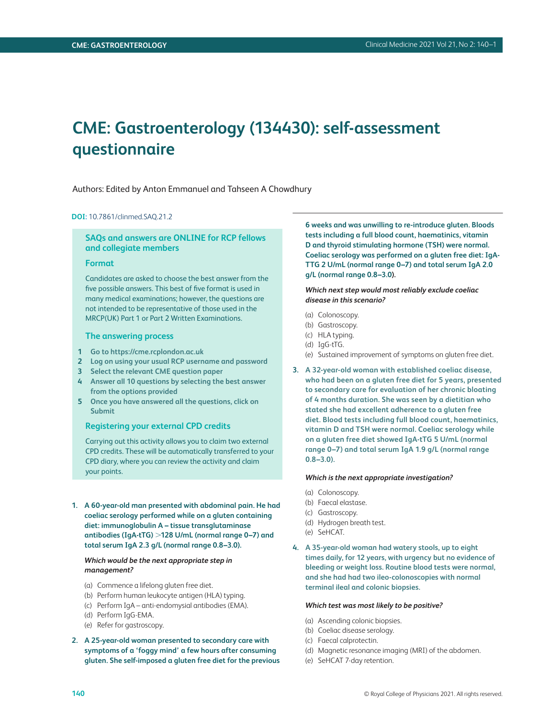# **CME: Gastroenterology (134430): self-assessment questionnaire**

Authors: Edited by Anton Emmanuel and Tahseen A Chowdhury

#### **DOI:** 10.7861/clinmed.SAQ.21.2

## **SAQs and answers are ONLINE for RCP fellows and collegiate members**

## **Format**

Candidates are asked to choose the best answer from the five possible answers. This best of five format is used in many medical examinations; however, the questions are not intended to be representative of those used in the MRCP(UK) Part 1 or Part 2 Written Examinations.

#### **The answering process**

- **1 Go to<https://cme.rcplondon.ac.uk>**
- **2 Log on using your usual RCP username and password**
- **3 Select the relevant CME question paper**
- **4 Answer all 10 questions by selecting the best answer from the options provided**
- **5 Once you have answered all the questions, click on Submit**

#### **Registering your external CPD credits**

Carrying out this activity allows you to claim two external CPD credits. These will be automatically transferred to your CPD diary, where you can review the activity and claim your points.

**1. A 60-year-old man presented with abdominal pain. He had coeliac serology performed while on a gluten containing diet: immunoglobulin A – tissue transglutaminase antibodies (IgA-tTG)** >**128 U/mL (normal range 0–7) and total serum IgA 2.3 g/L (normal range 0.8–3.0).**

## *Which would be the next appropriate step in management?*

- (a) Commence a lifelong gluten free diet.
- (b) Perform human leukocyte antigen (HLA) typing.
- (c) Perform IgA anti-endomysial antibodies (EMA).
- (d) Perform IgG-EMA.
- (e) Refer for gastroscopy.
- **2. A 25-year-old woman presented to secondary care with symptoms of a 'foggy mind' a few hours after consuming gluten. She self-imposed a gluten free diet for the previous**

**6 weeks and was unwilling to re-introduce gluten. Bloods tests including a full blood count, haematinics, vitamin D and thyroid stimulating hormone (TSH) were normal. Coeliac serology was performed on a gluten free diet: IgA-TTG 2 U/mL (normal range 0–7) and total serum IgA 2.0 g/L (normal range 0.8–3.0).**

*Which next step would most reliably exclude coeliac disease in this scenario?*

- (a) Colonoscopy.
- (b) Gastroscopy.
- (c) HLA typing.
- (d) IgG-tTG.
- (e) Sustained improvement of symptoms on gluten free diet.
- **3. A 32-year-old woman with established coeliac disease, who had been on a gluten free diet for 5 years, presented to secondary care for evaluation of her chronic bloating of 4 months duration. She was seen by a dietitian who stated she had excellent adherence to a gluten free diet. Blood tests including full blood count, haematinics, vitamin D and TSH were normal. Coeliac serology while on a gluten free diet showed IgA-tTG 5 U/mL (normal range 0–7) and total serum IgA 1.9 g/L (normal range 0.8–3.0).**

#### *Which is the next appropriate investigation?*

- (a) Colonoscopy.
- (b) Faecal elastase.
- (c) Gastroscopy.
- (d) Hydrogen breath test.
- (e) SeHCAT.
- **4. A 35-year-old woman had watery stools, up to eight times daily, for 12 years, with urgency but no evidence of bleeding or weight loss. Routine blood tests were normal, and she had had two ileo-colonoscopies with normal terminal ileal and colonic biopsies.**

#### *Which test was most likely to be positive?*

- (a) Ascending colonic biopsies.
- (b) Coeliac disease serology.
- (c) Faecal calprotectin.
- (d) Magnetic resonance imaging (MRI) of the abdomen.
- (e) SeHCAT 7-day retention.